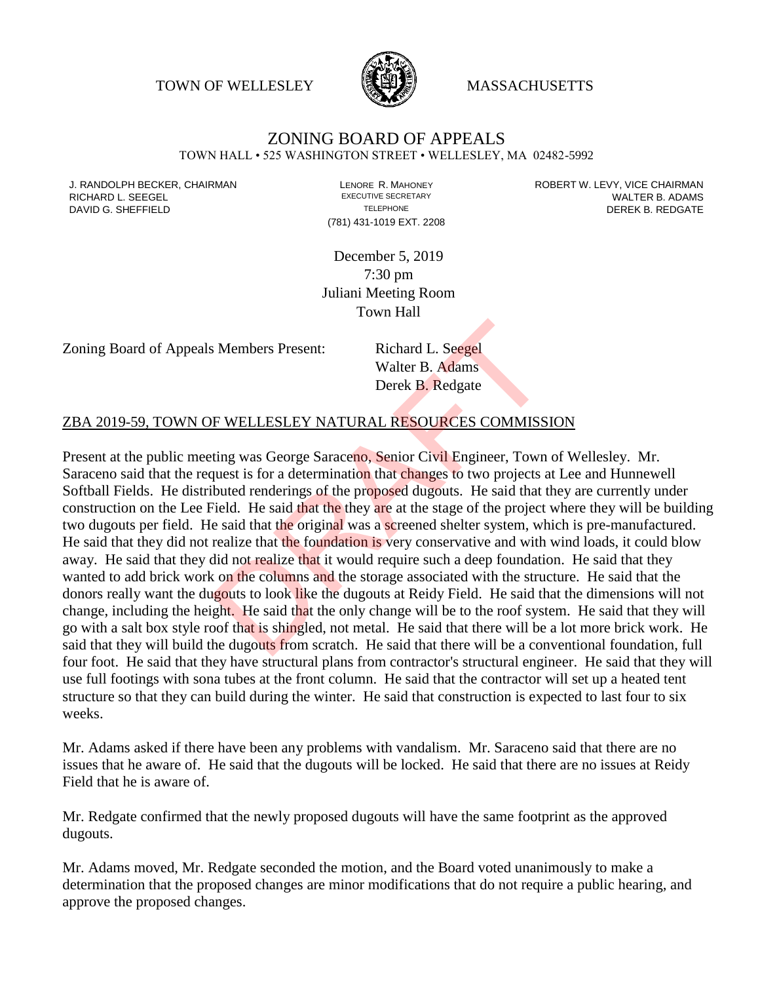TOWN OF WELLESLEY **WASSACHUSETTS** 



# ZONING BOARD OF APPEALS

TOWN HALL • 525 WASHINGTON STREET • WELLESLEY, MA 02482-5992

(781) 431-1019 EXT. 2208

J. RANDOLPH BECKER, CHAIRMAN LENORE R. MAHONEY ROBERT W. LEVY, VICE CHAIRMAN RICHARD L. SEEGEL **EXECUTIVE SECRETARY CONTROLLY SECRETARY WALTER B. ADAMS** DAVID G. SHEFFIELD **TELEPHONE** TELEPHONE TELEPHONE **TELEPHONE DEREK B. REDGATE** 

> December 5, 2019 7:30 pm Juliani Meeting Room Town Hall

Zoning Board of Appeals Members Present: Richard L. Seegel

Walter B. Adams Derek B. Redgate

#### ZBA 2019-59, TOWN OF WELLESLEY NATURAL RESOURCES COMMISSION

Present at the public meeting was George Saraceno, Senior Civil Engineer, Town of Wellesley. Mr. Saraceno said that the request is for a determination that changes to two projects at Lee and Hunnewell Softball Fields. He distributed renderings of the proposed dugouts. He said that they are currently under construction on the Lee Field. He said that the they are at the stage of the project where they will be building two dugouts per field. He said that the original was a screened shelter system, which is pre-manufactured. He said that they did not realize that the foundation is very conservative and with wind loads, it could blow away. He said that they did not realize that it would require such a deep foundation. He said that they wanted to add brick work on the columns and the storage associated with the structure. He said that the donors really want the dugouts to look like the dugouts at Reidy Field. He said that the dimensions will not change, including the height. He said that the only change will be to the roof system. He said that they will go with a salt box style roof that is shingled, not metal. He said that there will be a lot more brick work. He said that they will build the dugouts from scratch. He said that there will be a conventional foundation, full four foot. He said that they have structural plans from contractor's structural engineer. He said that they will use full footings with sona tubes at the front column. He said that the contractor will set up a heated tent structure so that they can build during the winter. He said that construction is expected to last four to six weeks. S Members Present:<br>
Walter B. Adams<br>
Derek B. Redgate<br>
F WELLESLEY NATURAL RESOURCES COMMISS<br>
ting was George Saraceno, Senior Civil Engineer, Town<br>
quest is for a determination that changes to two projects a<br>
buted render

Mr. Adams asked if there have been any problems with vandalism. Mr. Saraceno said that there are no issues that he aware of. He said that the dugouts will be locked. He said that there are no issues at Reidy Field that he is aware of.

Mr. Redgate confirmed that the newly proposed dugouts will have the same footprint as the approved dugouts.

Mr. Adams moved, Mr. Redgate seconded the motion, and the Board voted unanimously to make a determination that the proposed changes are minor modifications that do not require a public hearing, and approve the proposed changes.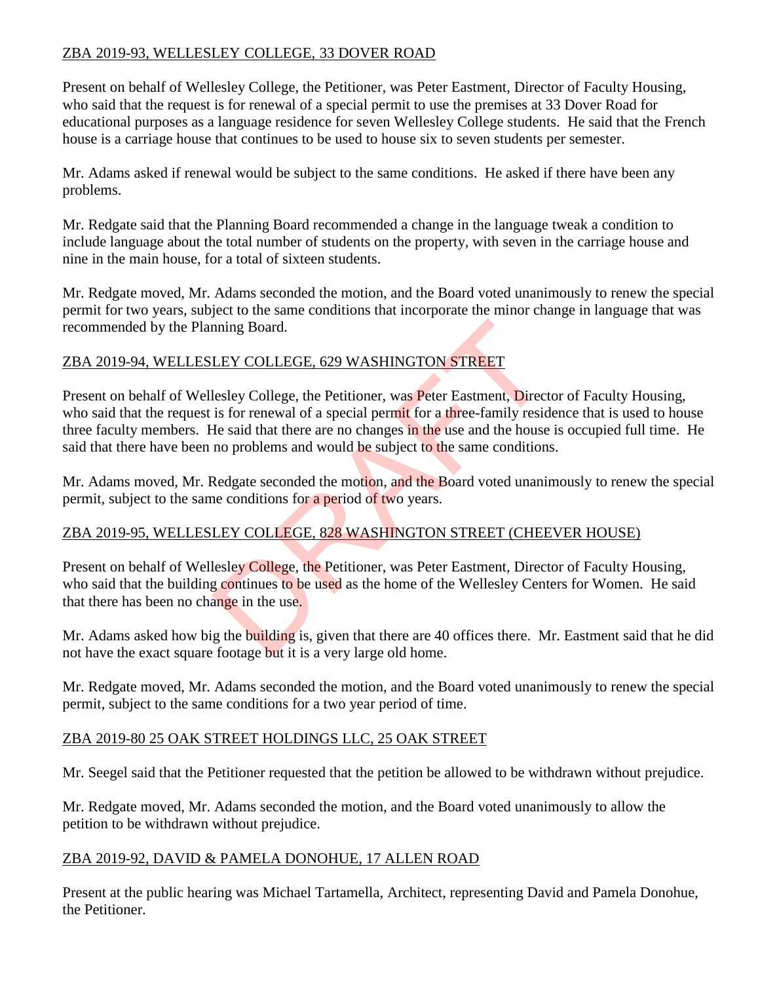## ZBA 2019-93, WELLESLEY COLLEGE, 33 DOVER ROAD

Present on behalf of Wellesley College, the Petitioner, was Peter Eastment, Director of Faculty Housing, who said that the request is for renewal of a special permit to use the premises at 33 Dover Road for educational purposes as a language residence for seven Wellesley College students. He said that the French house is a carriage house that continues to be used to house six to seven students per semester.

Mr. Adams asked if renewal would be subject to the same conditions. He asked if there have been any problems.

Mr. Redgate said that the Planning Board recommended a change in the language tweak a condition to include language about the total number of students on the property, with seven in the carriage house and nine in the main house, for a total of sixteen students.

Mr. Redgate moved, Mr. Adams seconded the motion, and the Board voted unanimously to renew the special permit for two years, subject to the same conditions that incorporate the minor change in language that was recommended by the Planning Board.

### ZBA 2019-94, WELLESLEY COLLEGE, 629 WASHINGTON STREET

Present on behalf of Wellesley College, the Petitioner, was Peter Eastment, Director of Faculty Housing, who said that the request is for renewal of a special permit for a three-family residence that is used to house three faculty members. He said that there are no changes in the use and the house is occupied full time. He said that there have been no problems and would be subject to the same conditions. The Board EV COLLEGE, 629 WASHINGTON STREET<br>
LEY COLLEGE, 629 WASHINGTON STREET<br>
lesley College, the Petitioner, was Peter Eastment, Direct<br>
is for renewal of a special permit for a three-family reside<br>
and that there are

Mr. Adams moved, Mr. Redgate seconded the motion, and the Board voted unanimously to renew the special permit, subject to the same conditions for a period of two years.

#### ZBA 2019-95, WELLESLEY COLLEGE, 828 WASHINGTON STREET (CHEEVER HOUSE)

Present on behalf of Wellesley College, the Petitioner, was Peter Eastment, Director of Faculty Housing, who said that the building continues to be used as the home of the Wellesley Centers for Women. He said that there has been no change in the use.

Mr. Adams asked how big the building is, given that there are 40 offices there. Mr. Eastment said that he did not have the exact square footage but it is a very large old home.

Mr. Redgate moved, Mr. Adams seconded the motion, and the Board voted unanimously to renew the special permit, subject to the same conditions for a two year period of time.

#### ZBA 2019-80 25 OAK STREET HOLDINGS LLC, 25 OAK STREET

Mr. Seegel said that the Petitioner requested that the petition be allowed to be withdrawn without prejudice.

Mr. Redgate moved, Mr. Adams seconded the motion, and the Board voted unanimously to allow the petition to be withdrawn without prejudice.

#### ZBA 2019-92, DAVID & PAMELA DONOHUE, 17 ALLEN ROAD

Present at the public hearing was Michael Tartamella, Architect, representing David and Pamela Donohue, the Petitioner.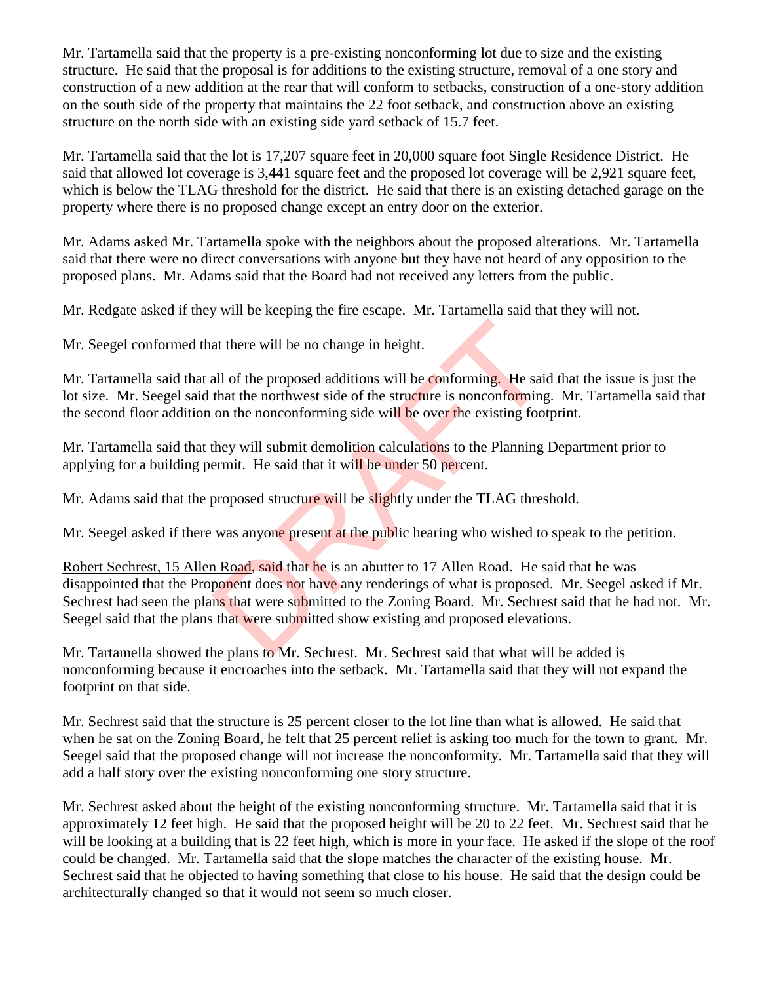Mr. Tartamella said that the property is a pre-existing nonconforming lot due to size and the existing structure. He said that the proposal is for additions to the existing structure, removal of a one story and construction of a new addition at the rear that will conform to setbacks, construction of a one-story addition on the south side of the property that maintains the 22 foot setback, and construction above an existing structure on the north side with an existing side yard setback of 15.7 feet.

Mr. Tartamella said that the lot is 17,207 square feet in 20,000 square foot Single Residence District. He said that allowed lot coverage is 3,441 square feet and the proposed lot coverage will be 2,921 square feet, which is below the TLAG threshold for the district. He said that there is an existing detached garage on the property where there is no proposed change except an entry door on the exterior.

Mr. Adams asked Mr. Tartamella spoke with the neighbors about the proposed alterations. Mr. Tartamella said that there were no direct conversations with anyone but they have not heard of any opposition to the proposed plans. Mr. Adams said that the Board had not received any letters from the public.

Mr. Redgate asked if they will be keeping the fire escape. Mr. Tartamella said that they will not.

Mr. Seegel conformed that there will be no change in height.

Mr. Tartamella said that all of the proposed additions will be conforming. He said that the issue is just the lot size. Mr. Seegel said that the northwest side of the structure is nonconforming. Mr. Tartamella said that the second floor addition on the nonconforming side will be over the existing footprint.

Mr. Tartamella said that they will submit demolition calculations to the Planning Department prior to applying for a building permit. He said that it will be under 50 percent.

Mr. Adams said that the proposed structure will be slightly under the TLAG threshold.

Mr. Seegel asked if there was anyone present at the public hearing who wished to speak to the petition.

Robert Sechrest, 15 Allen Road, said that he is an abutter to 17 Allen Road. He said that he was disappointed that the Proponent does not have any renderings of what is proposed. Mr. Seegel asked if Mr. Sechrest had seen the plans that were submitted to the Zoning Board. Mr. Sechrest said that he had not. Mr. Seegel said that the plans that were submitted show existing and proposed elevations. at there will be no change in height.<br>
all of the proposed additions will be conforming. He said<br>
that the northwest side of the structure is nonconforming<br>
on the nonconforming side will be over the existing foot<br>
they wi

Mr. Tartamella showed the plans to Mr. Sechrest. Mr. Sechrest said that what will be added is nonconforming because it encroaches into the setback. Mr. Tartamella said that they will not expand the footprint on that side.

Mr. Sechrest said that the structure is 25 percent closer to the lot line than what is allowed. He said that when he sat on the Zoning Board, he felt that 25 percent relief is asking too much for the town to grant. Mr. Seegel said that the proposed change will not increase the nonconformity. Mr. Tartamella said that they will add a half story over the existing nonconforming one story structure.

Mr. Sechrest asked about the height of the existing nonconforming structure. Mr. Tartamella said that it is approximately 12 feet high. He said that the proposed height will be 20 to 22 feet. Mr. Sechrest said that he will be looking at a building that is 22 feet high, which is more in your face. He asked if the slope of the roof could be changed. Mr. Tartamella said that the slope matches the character of the existing house. Mr. Sechrest said that he objected to having something that close to his house. He said that the design could be architecturally changed so that it would not seem so much closer.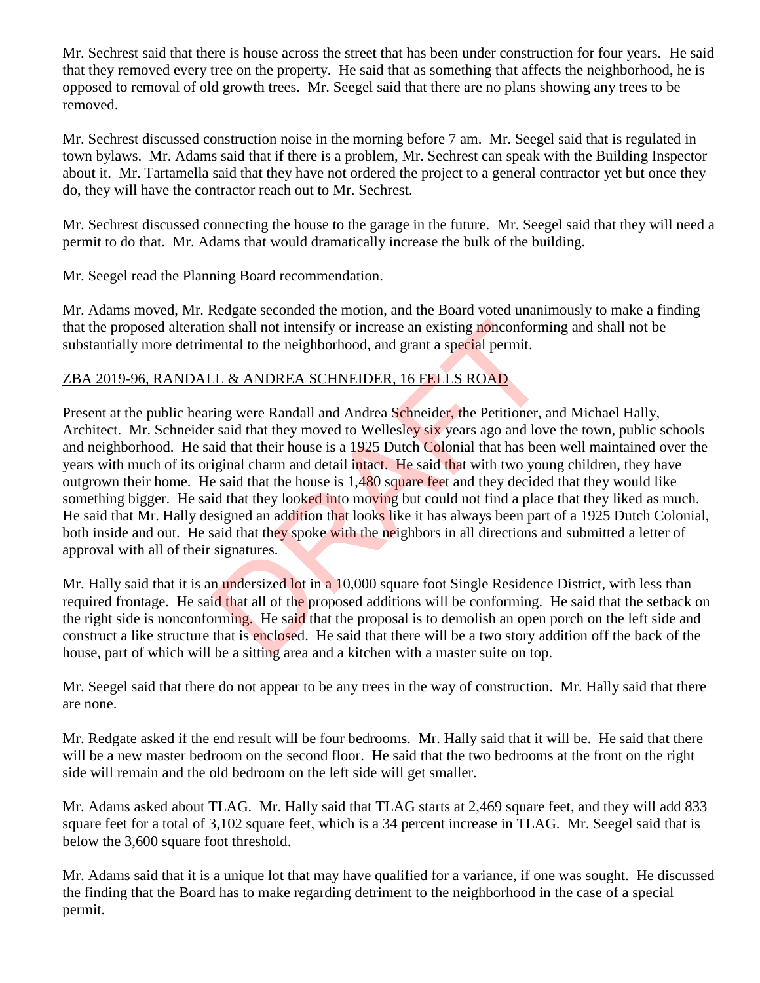Mr. Sechrest said that there is house across the street that has been under construction for four years. He said that they removed every tree on the property. He said that as something that affects the neighborhood, he is opposed to removal of old growth trees. Mr. Seegel said that there are no plans showing any trees to be removed.

Mr. Sechrest discussed construction noise in the morning before 7 am. Mr. Seegel said that is regulated in town bylaws. Mr. Adams said that if there is a problem, Mr. Sechrest can speak with the Building Inspector about it. Mr. Tartamella said that they have not ordered the project to a general contractor yet but once they do, they will have the contractor reach out to Mr. Sechrest.

Mr. Sechrest discussed connecting the house to the garage in the future. Mr. Seegel said that they will need a permit to do that. Mr. Adams that would dramatically increase the bulk of the building.

Mr. Seegel read the Planning Board recommendation.

Mr. Adams moved, Mr. Redgate seconded the motion, and the Board voted unanimously to make a finding that the proposed alteration shall not intensify or increase an existing nonconforming and shall not be substantially more detrimental to the neighborhood, and grant a special permit.

# ZBA 2019-96, RANDALL & ANDREA SCHNEIDER, 16 FELLS ROAD

Present at the public hearing were Randall and Andrea Schneider, the Petitioner, and Michael Hally, Architect. Mr. Schneider said that they moved to Wellesley six years ago and love the town, public schools and neighborhood. He said that their house is a 1925 Dutch Colonial that has been well maintained over the years with much of its original charm and detail intact. He said that with two young children, they have outgrown their home. He said that the house is 1,480 square feet and they decided that they would like something bigger. He said that they looked into moving but could not find a place that they liked as much. He said that Mr. Hally designed an addition that looks like it has always been part of a 1925 Dutch Colonial, both inside and out. He said that they spoke with the neighbors in all directions and submitted a letter of approval with all of their signatures. on shall not intensify or increase an existing nonconform<br>
ental to the neighborhood, and grant a special permit.<br>
L. & ANDREA SCHNEIDER, 16 FELLS ROAD<br>
ing were Randall and Andrea Schneider, the Petitioner, at<br>
staid that

Mr. Hally said that it is an undersized lot in a 10,000 square foot Single Residence District, with less than required frontage. He said that all of the proposed additions will be conforming. He said that the setback on the right side is nonconforming. He said that the proposal is to demolish an open porch on the left side and construct a like structure that is enclosed. He said that there will be a two story addition off the back of the house, part of which will be a sitting area and a kitchen with a master suite on top.

Mr. Seegel said that there do not appear to be any trees in the way of construction. Mr. Hally said that there are none.

Mr. Redgate asked if the end result will be four bedrooms. Mr. Hally said that it will be. He said that there will be a new master bedroom on the second floor. He said that the two bedrooms at the front on the right side will remain and the old bedroom on the left side will get smaller.

Mr. Adams asked about TLAG. Mr. Hally said that TLAG starts at 2,469 square feet, and they will add 833 square feet for a total of 3,102 square feet, which is a 34 percent increase in TLAG. Mr. Seegel said that is below the 3,600 square foot threshold.

Mr. Adams said that it is a unique lot that may have qualified for a variance, if one was sought. He discussed the finding that the Board has to make regarding detriment to the neighborhood in the case of a special permit.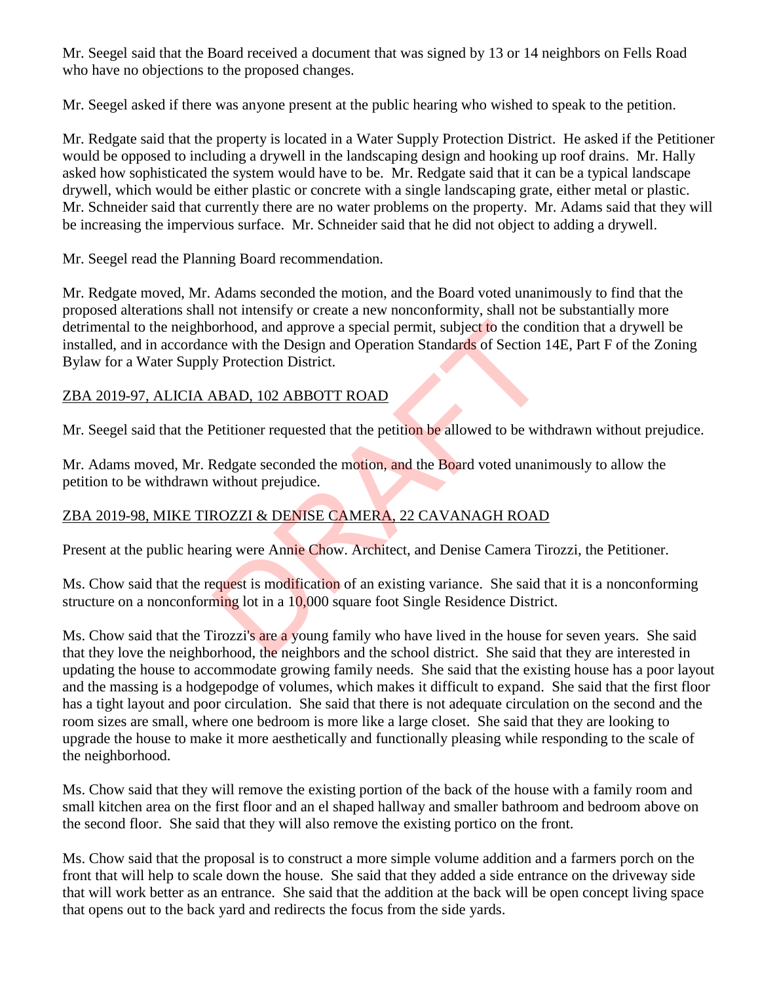Mr. Seegel said that the Board received a document that was signed by 13 or 14 neighbors on Fells Road who have no objections to the proposed changes.

Mr. Seegel asked if there was anyone present at the public hearing who wished to speak to the petition.

Mr. Redgate said that the property is located in a Water Supply Protection District. He asked if the Petitioner would be opposed to including a drywell in the landscaping design and hooking up roof drains. Mr. Hally asked how sophisticated the system would have to be. Mr. Redgate said that it can be a typical landscape drywell, which would be either plastic or concrete with a single landscaping grate, either metal or plastic. Mr. Schneider said that currently there are no water problems on the property. Mr. Adams said that they will be increasing the impervious surface. Mr. Schneider said that he did not object to adding a drywell.

Mr. Seegel read the Planning Board recommendation.

Mr. Redgate moved, Mr. Adams seconded the motion, and the Board voted unanimously to find that the proposed alterations shall not intensify or create a new nonconformity, shall not be substantially more detrimental to the neighborhood, and approve a special permit, subject to the condition that a drywell be installed, and in accordance with the Design and Operation Standards of Section 14E, Part F of the Zoning Bylaw for a Water Supply Protection District. orhood, and approve a special permit, subject to the cond<br>noise with the Design and Operation Standards of Section 1<br>y Protection District.<br>ABAD, 102 ABBOTT ROAD<br>Petitioner requested that the petition be allowed to be with

# ZBA 2019-97, ALICIA ABAD, 102 ABBOTT ROAD

Mr. Seegel said that the Petitioner requested that the petition be allowed to be withdrawn without prejudice.

Mr. Adams moved, Mr. Redgate seconded the motion, and the Board voted unanimously to allow the petition to be withdrawn without prejudice.

# ZBA 2019-98, MIKE TIROZZI & DENISE CAMERA, 22 CAVANAGH ROAD

Present at the public hearing were Annie Chow. Architect, and Denise Camera Tirozzi, the Petitioner.

Ms. Chow said that the request is modification of an existing variance. She said that it is a nonconforming structure on a nonconforming lot in a 10,000 square foot Single Residence District.

Ms. Chow said that the Tirozzi's are a young family who have lived in the house for seven years. She said that they love the neighborhood, the neighbors and the school district. She said that they are interested in updating the house to accommodate growing family needs. She said that the existing house has a poor layout and the massing is a hodgepodge of volumes, which makes it difficult to expand. She said that the first floor has a tight layout and poor circulation. She said that there is not adequate circulation on the second and the room sizes are small, where one bedroom is more like a large closet. She said that they are looking to upgrade the house to make it more aesthetically and functionally pleasing while responding to the scale of the neighborhood.

Ms. Chow said that they will remove the existing portion of the back of the house with a family room and small kitchen area on the first floor and an el shaped hallway and smaller bathroom and bedroom above on the second floor. She said that they will also remove the existing portico on the front.

Ms. Chow said that the proposal is to construct a more simple volume addition and a farmers porch on the front that will help to scale down the house. She said that they added a side entrance on the driveway side that will work better as an entrance. She said that the addition at the back will be open concept living space that opens out to the back yard and redirects the focus from the side yards.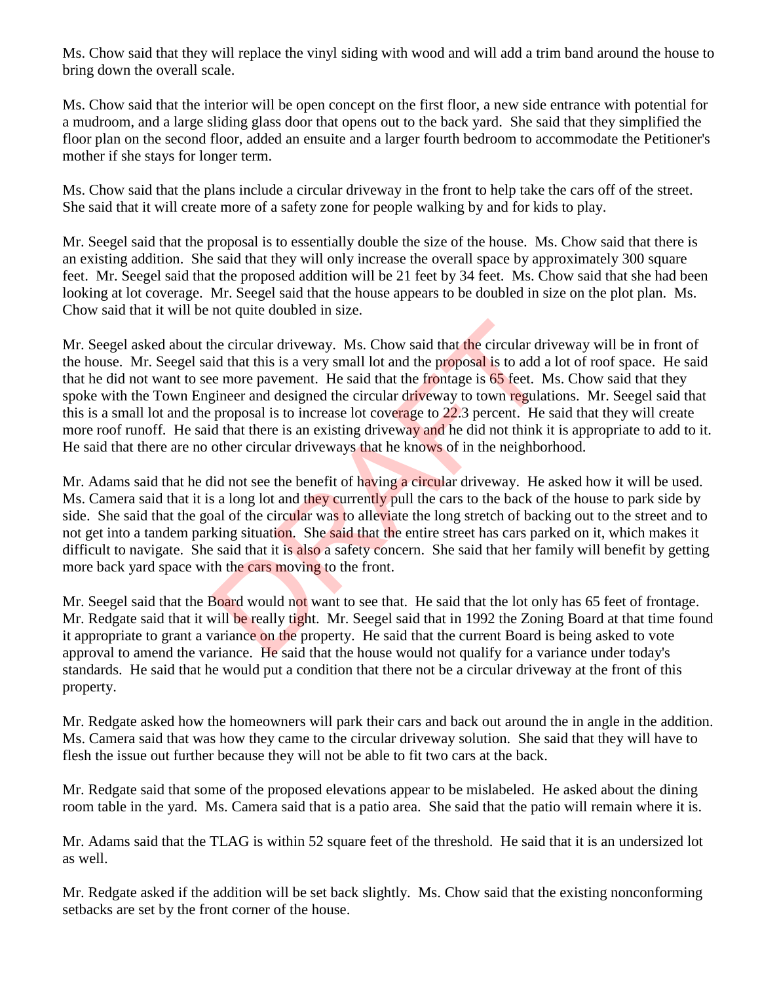Ms. Chow said that they will replace the vinyl siding with wood and will add a trim band around the house to bring down the overall scale.

Ms. Chow said that the interior will be open concept on the first floor, a new side entrance with potential for a mudroom, and a large sliding glass door that opens out to the back yard. She said that they simplified the floor plan on the second floor, added an ensuite and a larger fourth bedroom to accommodate the Petitioner's mother if she stays for longer term.

Ms. Chow said that the plans include a circular driveway in the front to help take the cars off of the street. She said that it will create more of a safety zone for people walking by and for kids to play.

Mr. Seegel said that the proposal is to essentially double the size of the house. Ms. Chow said that there is an existing addition. She said that they will only increase the overall space by approximately 300 square feet. Mr. Seegel said that the proposed addition will be 21 feet by 34 feet. Ms. Chow said that she had been looking at lot coverage. Mr. Seegel said that the house appears to be doubled in size on the plot plan. Ms. Chow said that it will be not quite doubled in size.

Mr. Seegel asked about the circular driveway. Ms. Chow said that the circular driveway will be in front of the house. Mr. Seegel said that this is a very small lot and the proposal is to add a lot of roof space. He said that he did not want to see more pavement. He said that the frontage is 65 feet. Ms. Chow said that they spoke with the Town Engineer and designed the circular driveway to town regulations. Mr. Seegel said that this is a small lot and the proposal is to increase lot coverage to 22.3 percent. He said that they will create more roof runoff. He said that there is an existing driveway and he did not think it is appropriate to add to it. He said that there are no other circular driveways that he knows of in the neighborhood. the circular driveway. Ms. Chow said that the circular dri<br>id that this is a very small lot and the proposal is to add a<br>e more pavement. He said that the frontage is  $65$  feet. N<br>gineer and designed the circular driveway

Mr. Adams said that he did not see the benefit of having a circular driveway. He asked how it will be used. Ms. Camera said that it is a long lot and they currently pull the cars to the back of the house to park side by side. She said that the goal of the circular was to alleviate the long stretch of backing out to the street and to not get into a tandem parking situation. She said that the entire street has cars parked on it, which makes it difficult to navigate. She said that it is also a safety concern. She said that her family will benefit by getting more back yard space with the cars moving to the front.

Mr. Seegel said that the Board would not want to see that. He said that the lot only has 65 feet of frontage. Mr. Redgate said that it will be really tight. Mr. Seegel said that in 1992 the Zoning Board at that time found it appropriate to grant a variance on the property. He said that the current Board is being asked to vote approval to amend the variance. He said that the house would not qualify for a variance under today's standards. He said that he would put a condition that there not be a circular driveway at the front of this property.

Mr. Redgate asked how the homeowners will park their cars and back out around the in angle in the addition. Ms. Camera said that was how they came to the circular driveway solution. She said that they will have to flesh the issue out further because they will not be able to fit two cars at the back.

Mr. Redgate said that some of the proposed elevations appear to be mislabeled. He asked about the dining room table in the yard. Ms. Camera said that is a patio area. She said that the patio will remain where it is.

Mr. Adams said that the TLAG is within 52 square feet of the threshold. He said that it is an undersized lot as well.

Mr. Redgate asked if the addition will be set back slightly. Ms. Chow said that the existing nonconforming setbacks are set by the front corner of the house.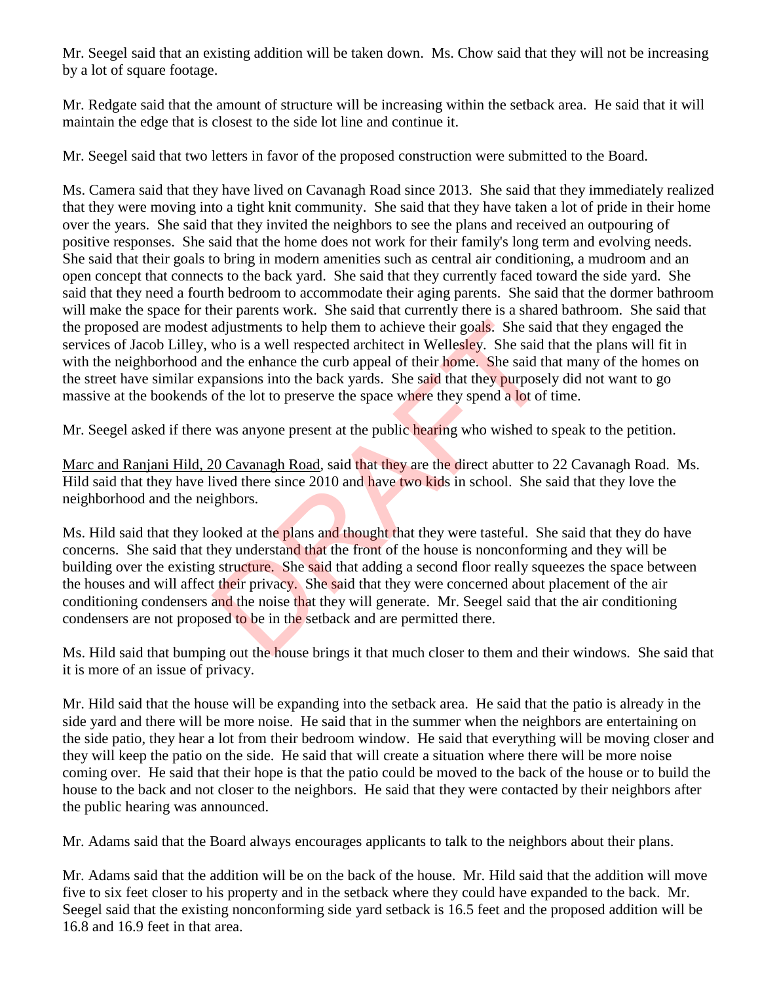Mr. Seegel said that an existing addition will be taken down. Ms. Chow said that they will not be increasing by a lot of square footage.

Mr. Redgate said that the amount of structure will be increasing within the setback area. He said that it will maintain the edge that is closest to the side lot line and continue it.

Mr. Seegel said that two letters in favor of the proposed construction were submitted to the Board.

Ms. Camera said that they have lived on Cavanagh Road since 2013. She said that they immediately realized that they were moving into a tight knit community. She said that they have taken a lot of pride in their home over the years. She said that they invited the neighbors to see the plans and received an outpouring of positive responses. She said that the home does not work for their family's long term and evolving needs. She said that their goals to bring in modern amenities such as central air conditioning, a mudroom and an open concept that connects to the back yard. She said that they currently faced toward the side yard. She said that they need a fourth bedroom to accommodate their aging parents. She said that the dormer bathroom will make the space for their parents work. She said that currently there is a shared bathroom. She said that the proposed are modest adjustments to help them to achieve their goals. She said that they engaged the services of Jacob Lilley, who is a well respected architect in Wellesley. She said that the plans will fit in with the neighborhood and the enhance the curb appeal of their home. She said that many of the homes on the street have similar expansions into the back yards. She said that they purposely did not want to go massive at the bookends of the lot to preserve the space where they spend a lot of time.

Mr. Seegel asked if there was anyone present at the public hearing who wished to speak to the petition.

Marc and Ranjani Hild, 20 Cavanagh Road, said that they are the direct abutter to 22 Cavanagh Road. Ms. Hild said that they have lived there since 2010 and have two kids in school. She said that they love the neighborhood and the neighbors.

Ms. Hild said that they looked at the plans and thought that they were tasteful. She said that they do have concerns. She said that they understand that the front of the house is nonconforming and they will be building over the existing structure. She said that adding a second floor really squeezes the space between the houses and will affect their privacy. She said that they were concerned about placement of the air conditioning condensers and the noise that they will generate. Mr. Seegel said that the air conditioning condensers are not proposed to be in the setback and are permitted there. adjustments to help them to achieve their goals. She said<br>who is a well respected architect in Wellesley. She said th<br>d the enhance the curb appeal of their home. She said th<br>pansions into the back yards. She said that the

Ms. Hild said that bumping out the house brings it that much closer to them and their windows. She said that it is more of an issue of privacy.

Mr. Hild said that the house will be expanding into the setback area. He said that the patio is already in the side yard and there will be more noise. He said that in the summer when the neighbors are entertaining on the side patio, they hear a lot from their bedroom window. He said that everything will be moving closer and they will keep the patio on the side. He said that will create a situation where there will be more noise coming over. He said that their hope is that the patio could be moved to the back of the house or to build the house to the back and not closer to the neighbors. He said that they were contacted by their neighbors after the public hearing was announced.

Mr. Adams said that the Board always encourages applicants to talk to the neighbors about their plans.

Mr. Adams said that the addition will be on the back of the house. Mr. Hild said that the addition will move five to six feet closer to his property and in the setback where they could have expanded to the back. Mr. Seegel said that the existing nonconforming side yard setback is 16.5 feet and the proposed addition will be 16.8 and 16.9 feet in that area.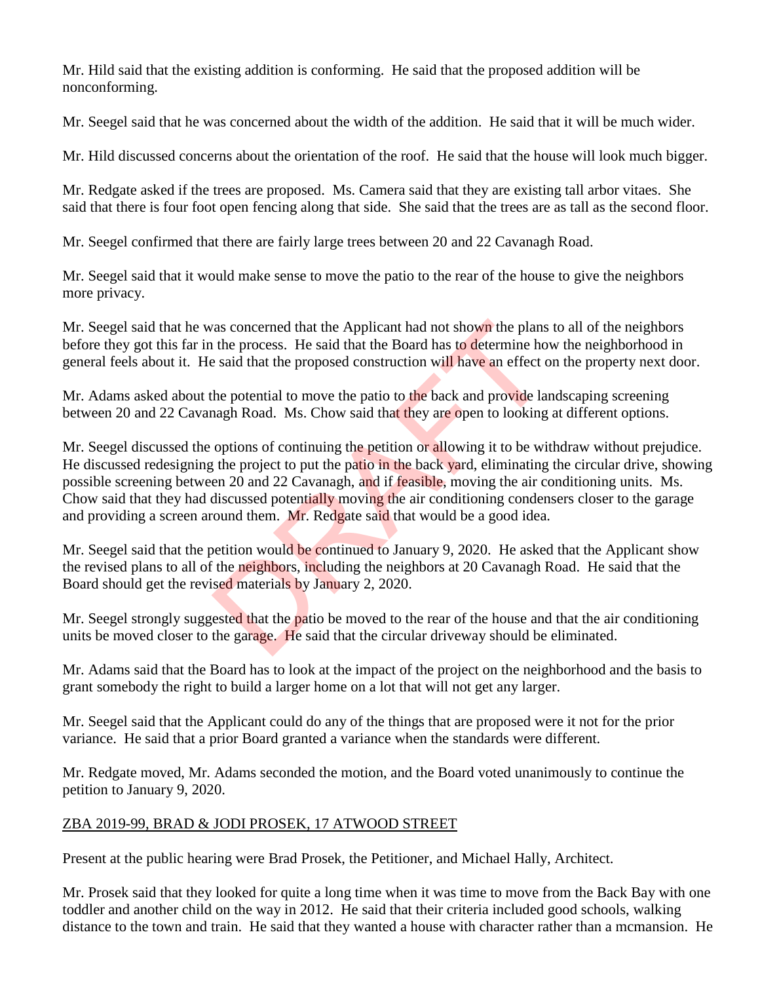Mr. Hild said that the existing addition is conforming. He said that the proposed addition will be nonconforming.

Mr. Seegel said that he was concerned about the width of the addition. He said that it will be much wider.

Mr. Hild discussed concerns about the orientation of the roof. He said that the house will look much bigger.

Mr. Redgate asked if the trees are proposed. Ms. Camera said that they are existing tall arbor vitaes. She said that there is four foot open fencing along that side. She said that the trees are as tall as the second floor.

Mr. Seegel confirmed that there are fairly large trees between 20 and 22 Cavanagh Road.

Mr. Seegel said that it would make sense to move the patio to the rear of the house to give the neighbors more privacy.

Mr. Seegel said that he was concerned that the Applicant had not shown the plans to all of the neighbors before they got this far in the process. He said that the Board has to determine how the neighborhood in general feels about it. He said that the proposed construction will have an effect on the property next door.

Mr. Adams asked about the potential to move the patio to the back and provide landscaping screening between 20 and 22 Cavanagh Road. Ms. Chow said that they are open to looking at different options.

Mr. Seegel discussed the options of continuing the petition or allowing it to be withdraw without prejudice. He discussed redesigning the project to put the patio in the back yard, eliminating the circular drive, showing possible screening between 20 and 22 Cavanagh, and if feasible, moving the air conditioning units. Ms. Chow said that they had discussed potentially moving the air conditioning condensers closer to the garage and providing a screen around them. Mr. Redgate said that would be a good idea. all the Applicant had not shown the plans<br>the process. He said that the Board has to determine ho<br>e said that the proposed construction will have an effect c<br>he potential to move the patio to the back and provide langh Roa

Mr. Seegel said that the petition would be continued to January 9, 2020. He asked that the Applicant show the revised plans to all of the neighbors, including the neighbors at 20 Cavanagh Road. He said that the Board should get the revised materials by January 2, 2020.

Mr. Seegel strongly suggested that the patio be moved to the rear of the house and that the air conditioning units be moved closer to the garage. He said that the circular driveway should be eliminated.

Mr. Adams said that the Board has to look at the impact of the project on the neighborhood and the basis to grant somebody the right to build a larger home on a lot that will not get any larger.

Mr. Seegel said that the Applicant could do any of the things that are proposed were it not for the prior variance. He said that a prior Board granted a variance when the standards were different.

Mr. Redgate moved, Mr. Adams seconded the motion, and the Board voted unanimously to continue the petition to January 9, 2020.

# ZBA 2019-99, BRAD & JODI PROSEK, 17 ATWOOD STREET

Present at the public hearing were Brad Prosek, the Petitioner, and Michael Hally, Architect.

Mr. Prosek said that they looked for quite a long time when it was time to move from the Back Bay with one toddler and another child on the way in 2012. He said that their criteria included good schools, walking distance to the town and train. He said that they wanted a house with character rather than a mcmansion. He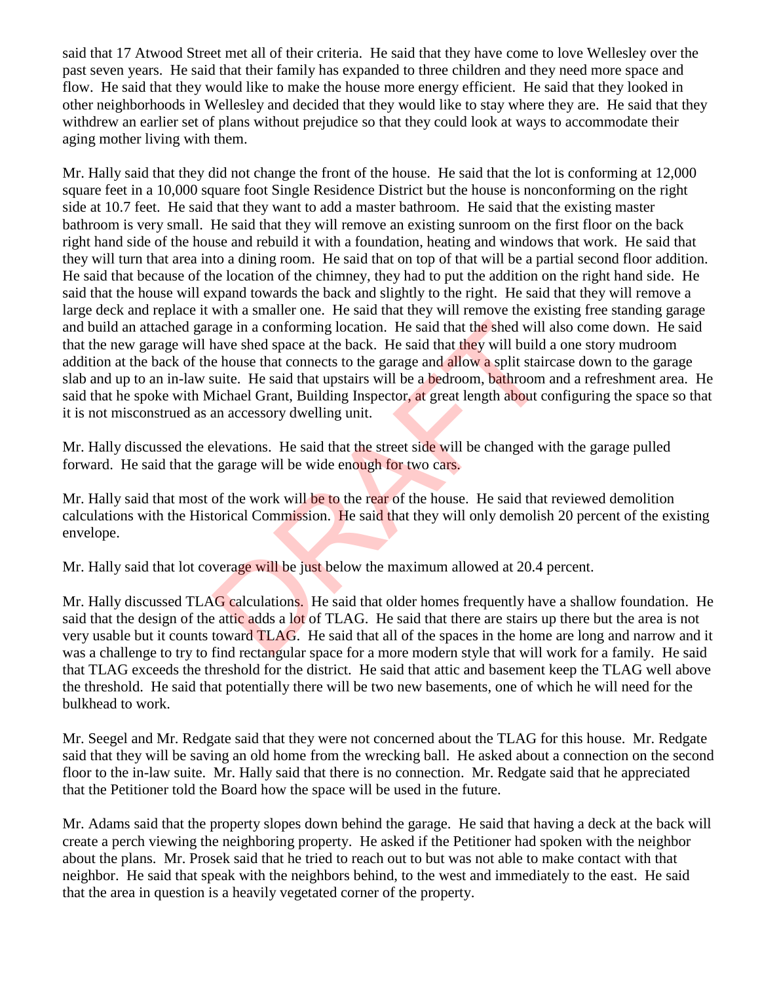said that 17 Atwood Street met all of their criteria. He said that they have come to love Wellesley over the past seven years. He said that their family has expanded to three children and they need more space and flow. He said that they would like to make the house more energy efficient. He said that they looked in other neighborhoods in Wellesley and decided that they would like to stay where they are. He said that they withdrew an earlier set of plans without prejudice so that they could look at ways to accommodate their aging mother living with them.

Mr. Hally said that they did not change the front of the house. He said that the lot is conforming at 12,000 square feet in a 10,000 square foot Single Residence District but the house is nonconforming on the right side at 10.7 feet. He said that they want to add a master bathroom. He said that the existing master bathroom is very small. He said that they will remove an existing sunroom on the first floor on the back right hand side of the house and rebuild it with a foundation, heating and windows that work. He said that they will turn that area into a dining room. He said that on top of that will be a partial second floor addition. He said that because of the location of the chimney, they had to put the addition on the right hand side. He said that the house will expand towards the back and slightly to the right. He said that they will remove a large deck and replace it with a smaller one. He said that they will remove the existing free standing garage and build an attached garage in a conforming location. He said that the shed will also come down. He said that the new garage will have shed space at the back. He said that they will build a one story mudroom addition at the back of the house that connects to the garage and allow a split staircase down to the garage slab and up to an in-law suite. He said that upstairs will be a bedroom, bathroom and a refreshment area. He said that he spoke with Michael Grant, Building Inspector, at great length about configuring the space so that it is not misconstrued as an accessory dwelling unit. age in a conforming location. He said that the shed will<br>have shed space at the back. He said that they will build<br>e house that connects to the garage and **allow** a split stair<br>suite. He said that upstairs will be a bedroo

Mr. Hally discussed the elevations. He said that the street side will be changed with the garage pulled forward. He said that the garage will be wide enough for two cars.

Mr. Hally said that most of the work will be to the rear of the house. He said that reviewed demolition calculations with the Historical Commission. He said that they will only demolish 20 percent of the existing envelope.

Mr. Hally said that lot coverage will be just below the maximum allowed at 20.4 percent.

Mr. Hally discussed TLAG calculations. He said that older homes frequently have a shallow foundation. He said that the design of the attic adds a lot of TLAG. He said that there are stairs up there but the area is not very usable but it counts toward TLAG. He said that all of the spaces in the home are long and narrow and it was a challenge to try to find rectangular space for a more modern style that will work for a family. He said that TLAG exceeds the threshold for the district. He said that attic and basement keep the TLAG well above the threshold. He said that potentially there will be two new basements, one of which he will need for the bulkhead to work.

Mr. Seegel and Mr. Redgate said that they were not concerned about the TLAG for this house. Mr. Redgate said that they will be saving an old home from the wrecking ball. He asked about a connection on the second floor to the in-law suite. Mr. Hally said that there is no connection. Mr. Redgate said that he appreciated that the Petitioner told the Board how the space will be used in the future.

Mr. Adams said that the property slopes down behind the garage. He said that having a deck at the back will create a perch viewing the neighboring property. He asked if the Petitioner had spoken with the neighbor about the plans. Mr. Prosek said that he tried to reach out to but was not able to make contact with that neighbor. He said that speak with the neighbors behind, to the west and immediately to the east. He said that the area in question is a heavily vegetated corner of the property.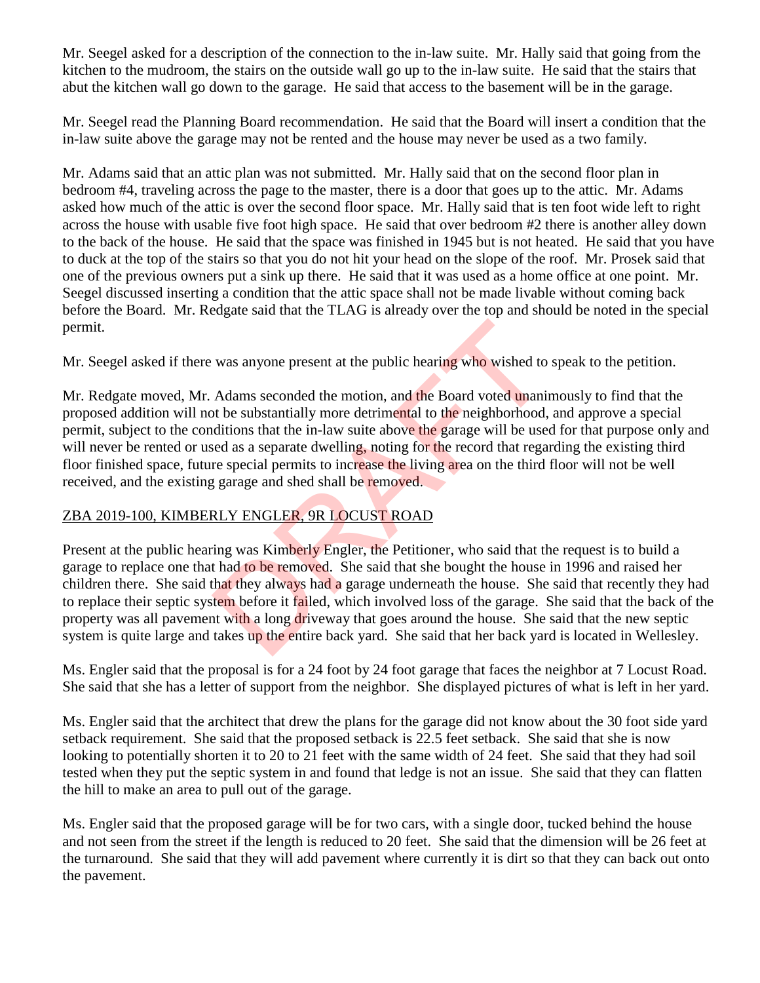Mr. Seegel asked for a description of the connection to the in-law suite. Mr. Hally said that going from the kitchen to the mudroom, the stairs on the outside wall go up to the in-law suite. He said that the stairs that abut the kitchen wall go down to the garage. He said that access to the basement will be in the garage.

Mr. Seegel read the Planning Board recommendation. He said that the Board will insert a condition that the in-law suite above the garage may not be rented and the house may never be used as a two family.

Mr. Adams said that an attic plan was not submitted. Mr. Hally said that on the second floor plan in bedroom #4, traveling across the page to the master, there is a door that goes up to the attic. Mr. Adams asked how much of the attic is over the second floor space. Mr. Hally said that is ten foot wide left to right across the house with usable five foot high space. He said that over bedroom #2 there is another alley down to the back of the house. He said that the space was finished in 1945 but is not heated. He said that you have to duck at the top of the stairs so that you do not hit your head on the slope of the roof. Mr. Prosek said that one of the previous owners put a sink up there. He said that it was used as a home office at one point. Mr. Seegel discussed inserting a condition that the attic space shall not be made livable without coming back before the Board. Mr. Redgate said that the TLAG is already over the top and should be noted in the special permit.

Mr. Seegel asked if there was anyone present at the public hearing who wished to speak to the petition.

Mr. Redgate moved, Mr. Adams seconded the motion, and the Board voted unanimously to find that the proposed addition will not be substantially more detrimental to the neighborhood, and approve a special permit, subject to the conditions that the in-law suite above the garage will be used for that purpose only and will never be rented or used as a separate dwelling, noting for the record that regarding the existing third floor finished space, future special permits to increase the living area on the third floor will not be well received, and the existing garage and shed shall be removed. was anyone present at the public hearing who wished to<br>Adams seconded the motion, and the Board voted unanit<br>of the substantially more detrimental to the neighborhood,<br>ditions that the in-law suite above the garage will be

# ZBA 2019-100, KIMBERLY ENGLER, 9R LOCUST ROAD

Present at the public hearing was Kimberly Engler, the Petitioner, who said that the request is to build a garage to replace one that had to be removed. She said that she bought the house in 1996 and raised her children there. She said that they always had a garage underneath the house. She said that recently they had to replace their septic system before it failed, which involved loss of the garage. She said that the back of the property was all pavement with a long driveway that goes around the house. She said that the new septic system is quite large and takes up the entire back yard. She said that her back yard is located in Wellesley.

Ms. Engler said that the proposal is for a 24 foot by 24 foot garage that faces the neighbor at 7 Locust Road. She said that she has a letter of support from the neighbor. She displayed pictures of what is left in her yard.

Ms. Engler said that the architect that drew the plans for the garage did not know about the 30 foot side yard setback requirement. She said that the proposed setback is 22.5 feet setback. She said that she is now looking to potentially shorten it to 20 to 21 feet with the same width of 24 feet. She said that they had soil tested when they put the septic system in and found that ledge is not an issue. She said that they can flatten the hill to make an area to pull out of the garage.

Ms. Engler said that the proposed garage will be for two cars, with a single door, tucked behind the house and not seen from the street if the length is reduced to 20 feet. She said that the dimension will be 26 feet at the turnaround. She said that they will add pavement where currently it is dirt so that they can back out onto the pavement.